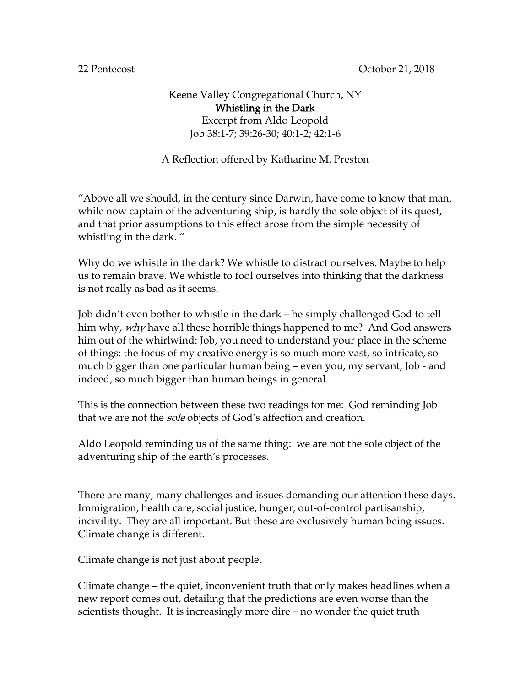22 Pentecost October 21, 2018

## Keene Valley Congregational Church, NY Whistling in the Dark Excerpt from Aldo Leopold Job 38:1-7; 39:26-30; 40:1-2; 42:1-6

## A Reflection offered by Katharine M. Preston

"Above all we should, in the century since Darwin, have come to know that man, while now captain of the adventuring ship, is hardly the sole object of its quest, and that prior assumptions to this effect arose from the simple necessity of whistling in the dark. "

Why do we whistle in the dark? We whistle to distract ourselves. Maybe to help us to remain brave. We whistle to fool ourselves into thinking that the darkness is not really as bad as it seems.

Job didn't even bother to whistle in the dark – he simply challenged God to tell him why, *why* have all these horrible things happened to me? And God answers him out of the whirlwind: Job, you need to understand your place in the scheme of things: the focus of my creative energy is so much more vast, so intricate, so much bigger than one particular human being – even you, my servant, Job - and indeed, so much bigger than human beings in general.

This is the connection between these two readings for me: God reminding Job that we are not the *sole* objects of God's affection and creation.

Aldo Leopold reminding us of the same thing: we are not the sole object of the adventuring ship of the earth's processes.

There are many, many challenges and issues demanding our attention these days. Immigration, health care, social justice, hunger, out-of-control partisanship, incivility. They are all important. But these are exclusively human being issues. Climate change is different.

Climate change is not just about people.

Climate change – the quiet, inconvenient truth that only makes headlines when a new report comes out, detailing that the predictions are even worse than the scientists thought. It is increasingly more dire – no wonder the quiet truth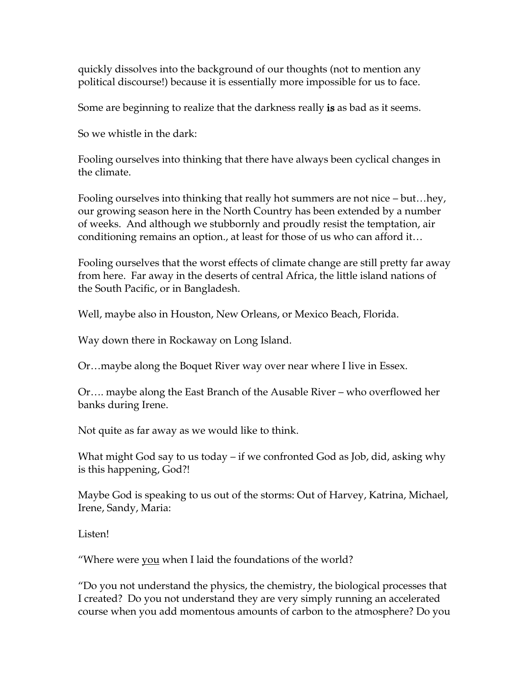quickly dissolves into the background of our thoughts (not to mention any political discourse!) because it is essentially more impossible for us to face.

Some are beginning to realize that the darkness really is as bad as it seems.

So we whistle in the dark:

Fooling ourselves into thinking that there have always been cyclical changes in the climate.

Fooling ourselves into thinking that really hot summers are not nice – but…hey, our growing season here in the North Country has been extended by a number of weeks. And although we stubbornly and proudly resist the temptation, air conditioning remains an option., at least for those of us who can afford it…

Fooling ourselves that the worst effects of climate change are still pretty far away from here. Far away in the deserts of central Africa, the little island nations of the South Pacific, or in Bangladesh.

Well, maybe also in Houston, New Orleans, or Mexico Beach, Florida.

Way down there in Rockaway on Long Island.

Or…maybe along the Boquet River way over near where I live in Essex.

Or…. maybe along the East Branch of the Ausable River – who overflowed her banks during Irene.

Not quite as far away as we would like to think.

What might God say to us today – if we confronted God as Job, did, asking why is this happening, God?!

Maybe God is speaking to us out of the storms: Out of Harvey, Katrina, Michael, Irene, Sandy, Maria:

Listen!

"Where were you when I laid the foundations of the world?

"Do you not understand the physics, the chemistry, the biological processes that I created? Do you not understand they are very simply running an accelerated course when you add momentous amounts of carbon to the atmosphere? Do you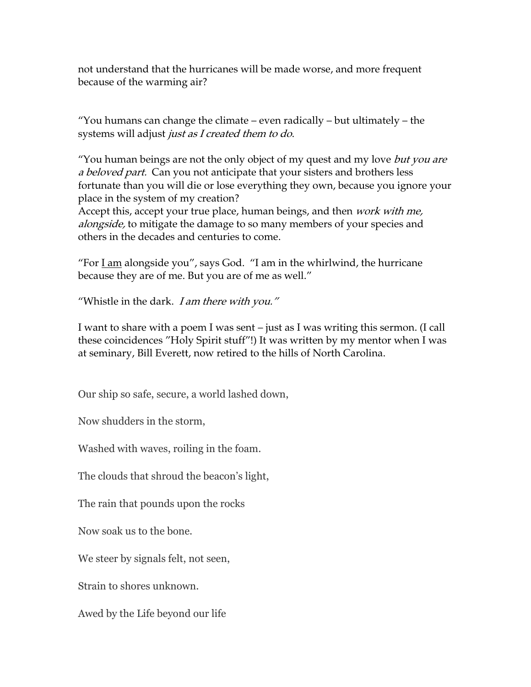not understand that the hurricanes will be made worse, and more frequent because of the warming air?

"You humans can change the climate – even radically – but ultimately – the systems will adjust *just as I created them to do*.

"You human beings are not the only object of my quest and my love *but you are* a beloved part. Can you not anticipate that your sisters and brothers less fortunate than you will die or lose everything they own, because you ignore your place in the system of my creation?

Accept this, accept your true place, human beings, and then *work with me*, *alongside*, to mitigate the damage to so many members of your species and others in the decades and centuries to come.

"For  $\underline{I}$  am alongside you", says God. "I am in the whirlwind, the hurricane because they are of me. But you are of me as well."

"Whistle in the dark. I am there with you."

I want to share with a poem I was sent – just as I was writing this sermon. (I call these coincidences "Holy Spirit stuff"!) It was written by my mentor when I was at seminary, Bill Everett, now retired to the hills of North Carolina.

Our ship so safe, secure, a world lashed down,

Now shudders in the storm,

Washed with waves, roiling in the foam.

The clouds that shroud the beacon's light,

The rain that pounds upon the rocks

Now soak us to the bone.

We steer by signals felt, not seen,

Strain to shores unknown.

Awed by the Life beyond our life